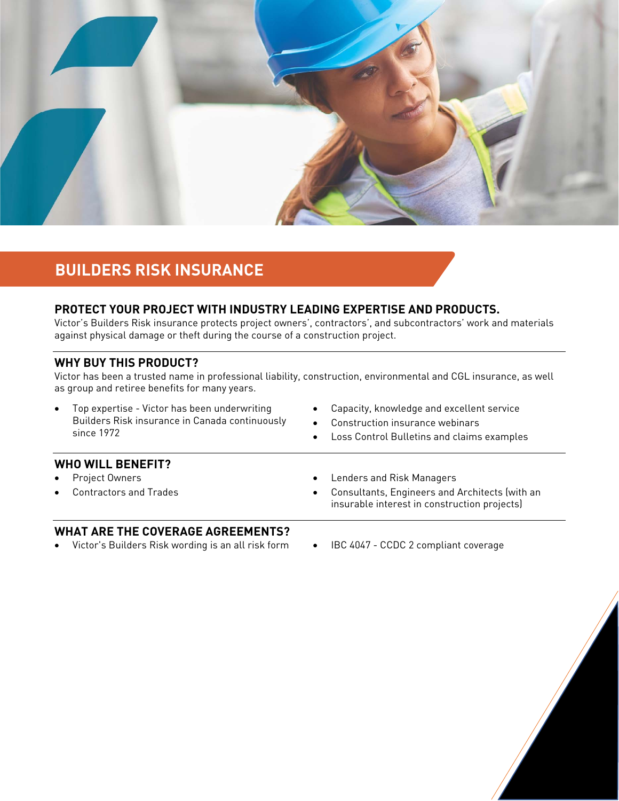

# **BUILDERS RISK INSURANCE**

# **PROTECT YOUR PROJECT WITH INDUSTRY LEADING EXPERTISE AND PRODUCTS.**

Victor's Builders Risk insurance protects project owners', contractors', and subcontractors' work and materials against physical damage or theft during the course of a construction project.

#### **WHY BUY THIS PRODUCT?**

Victor has been a trusted name in professional liability, construction, environmental and CGL insurance, as well as group and retiree benefits for many years.

- Top expertise Victor has been underwriting Builders Risk insurance in Canada continuously since 1972
- Capacity, knowledge and excellent service
- Construction insurance webinars
- Loss Control Bulletins and claims examples

#### **WHO WILL BENEFIT?**

- Project Owners
- Contractors and Trades
- Lenders and Risk Managers
- Consultants, Engineers and Architects (with an insurable interest in construction projects)

## **WHAT ARE THE COVERAGE AGREEMENTS?**

- Victor's Builders Risk wording is an all risk form IBC 4047 CCDC 2 compliant coverage
	-